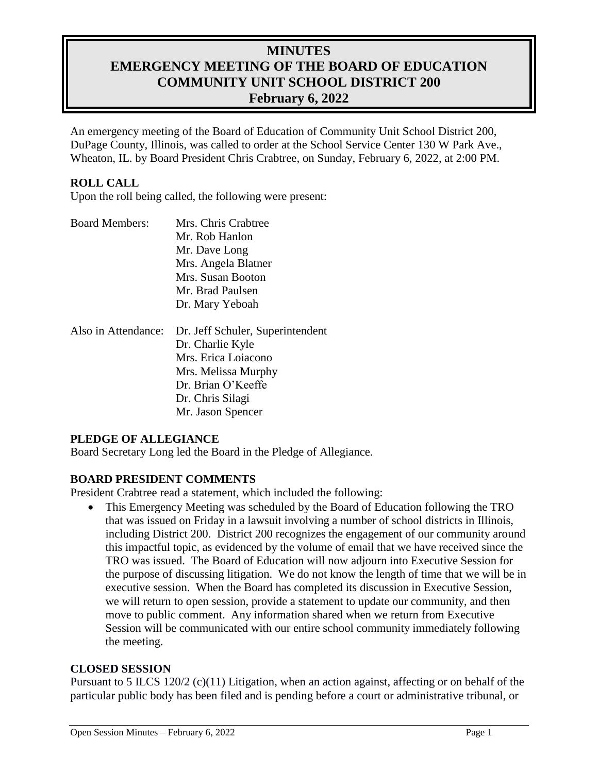# **MINUTES EMERGENCY MEETING OF THE BOARD OF EDUCATION COMMUNITY UNIT SCHOOL DISTRICT 200 February 6, 2022**

An emergency meeting of the Board of Education of Community Unit School District 200, DuPage County, Illinois, was called to order at the School Service Center 130 W Park Ave., Wheaton, IL. by Board President Chris Crabtree, on Sunday, February 6, 2022, at 2:00 PM.

## **ROLL CALL**

Upon the roll being called, the following were present:

| <b>Board Members:</b> | Mrs. Chris Crabtree              |  |
|-----------------------|----------------------------------|--|
|                       | Mr. Rob Hanlon                   |  |
|                       | Mr. Dave Long                    |  |
|                       | Mrs. Angela Blatner              |  |
|                       | Mrs. Susan Booton                |  |
|                       | Mr. Brad Paulsen                 |  |
|                       | Dr. Mary Yeboah                  |  |
| Also in Attendance:   | Dr. Jeff Schuler, Superintendent |  |
|                       | Dr. Charlie Kyle                 |  |
|                       | Mrs. Erica Loiacono              |  |
|                       | Mrs. Melissa Murphy              |  |
|                       | Dr. Brian O'Keeffe               |  |
|                       | Dr. Chris Silagi                 |  |

## **PLEDGE OF ALLEGIANCE**

Board Secretary Long led the Board in the Pledge of Allegiance.

Mr. Jason Spencer

## **BOARD PRESIDENT COMMENTS**

President Crabtree read a statement, which included the following:

 This Emergency Meeting was scheduled by the Board of Education following the TRO that was issued on Friday in a lawsuit involving a number of school districts in Illinois, including District 200. District 200 recognizes the engagement of our community around this impactful topic, as evidenced by the volume of email that we have received since the TRO was issued. The Board of Education will now adjourn into Executive Session for the purpose of discussing litigation. We do not know the length of time that we will be in executive session. When the Board has completed its discussion in Executive Session, we will return to open session, provide a statement to update our community, and then move to public comment. Any information shared when we return from Executive Session will be communicated with our entire school community immediately following the meeting.

#### **CLOSED SESSION**

Pursuant to 5 ILCS 120/2 (c)(11) Litigation, when an action against, affecting or on behalf of the particular public body has been filed and is pending before a court or administrative tribunal, or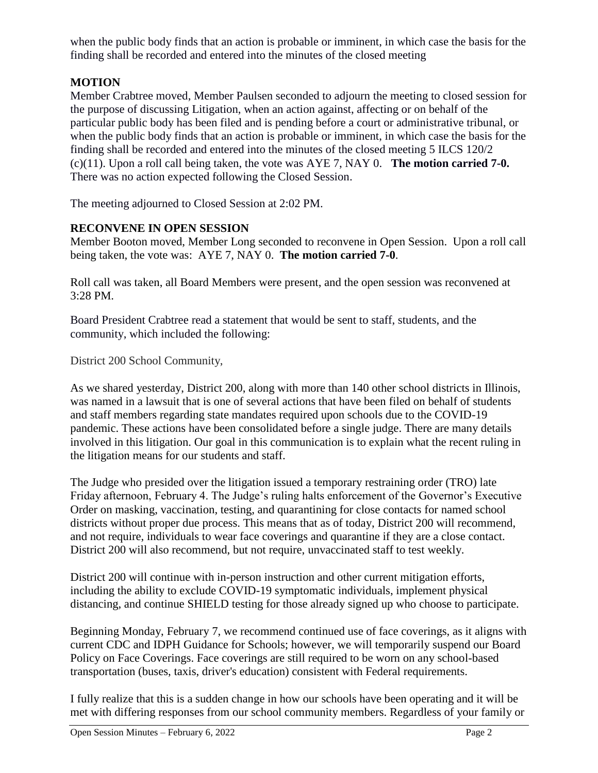when the public body finds that an action is probable or imminent, in which case the basis for the finding shall be recorded and entered into the minutes of the closed meeting

## **MOTION**

Member Crabtree moved, Member Paulsen seconded to adjourn the meeting to closed session for the purpose of discussing Litigation, when an action against, affecting or on behalf of the particular public body has been filed and is pending before a court or administrative tribunal, or when the public body finds that an action is probable or imminent, in which case the basis for the finding shall be recorded and entered into the minutes of the closed meeting 5 ILCS 120/2 (c)(11). Upon a roll call being taken, the vote was AYE 7, NAY 0. **The motion carried 7-0.**  There was no action expected following the Closed Session.

The meeting adjourned to Closed Session at 2:02 PM.

## **RECONVENE IN OPEN SESSION**

Member Booton moved, Member Long seconded to reconvene in Open Session. Upon a roll call being taken, the vote was: AYE 7, NAY 0. **The motion carried 7-0**.

Roll call was taken, all Board Members were present, and the open session was reconvened at 3:28 PM.

Board President Crabtree read a statement that would be sent to staff, students, and the community, which included the following:

District 200 School Community,

[As we shared yesterday,](https://medium.com/district-200-newsroom/february-5-update-from-dr-schuler-204f77124de1) District 200, along with more than 140 other school districts in Illinois, was named in a lawsuit that is one of several actions that have been filed on behalf of students and staff members regarding state mandates required upon schools due to the COVID-19 pandemic. These actions have been consolidated before a single judge. There are many details involved in this litigation. Our goal in this communication is to explain what the recent ruling in the litigation means for our students and staff.

The Judge who presided over the litigation issued a temporary restraining order (TRO) late Friday afternoon, February 4. The Judge's ruling halts enforcement of the Governor's Executive Order on masking, vaccination, testing, and quarantining for close contacts for named school districts without proper due process. This means that as of today, District 200 will recommend, and not require, individuals to wear face coverings and quarantine if they are a close contact. District 200 will also recommend, but not require, unvaccinated staff to test weekly.

District 200 will continue with in-person instruction and other current mitigation efforts, including the ability to exclude COVID-19 symptomatic individuals, implement physical distancing, and continue SHIELD testing for those already signed up who choose to participate.

Beginning Monday, February 7, we recommend continued use of face coverings, as it aligns with current CDC and [IDPH](https://dph.illinois.gov/covid19/community-guidance/school-guidance.html) Guidance for Schools; however, we will temporarily suspend our Board Policy on Face Coverings. Face coverings are still required to be worn on any school-based transportation (buses, taxis, driver's education) consistent with Federal requirements.

I fully realize that this is a sudden change in how our schools have been operating and it will be met with differing responses from our school community members. Regardless of your family or